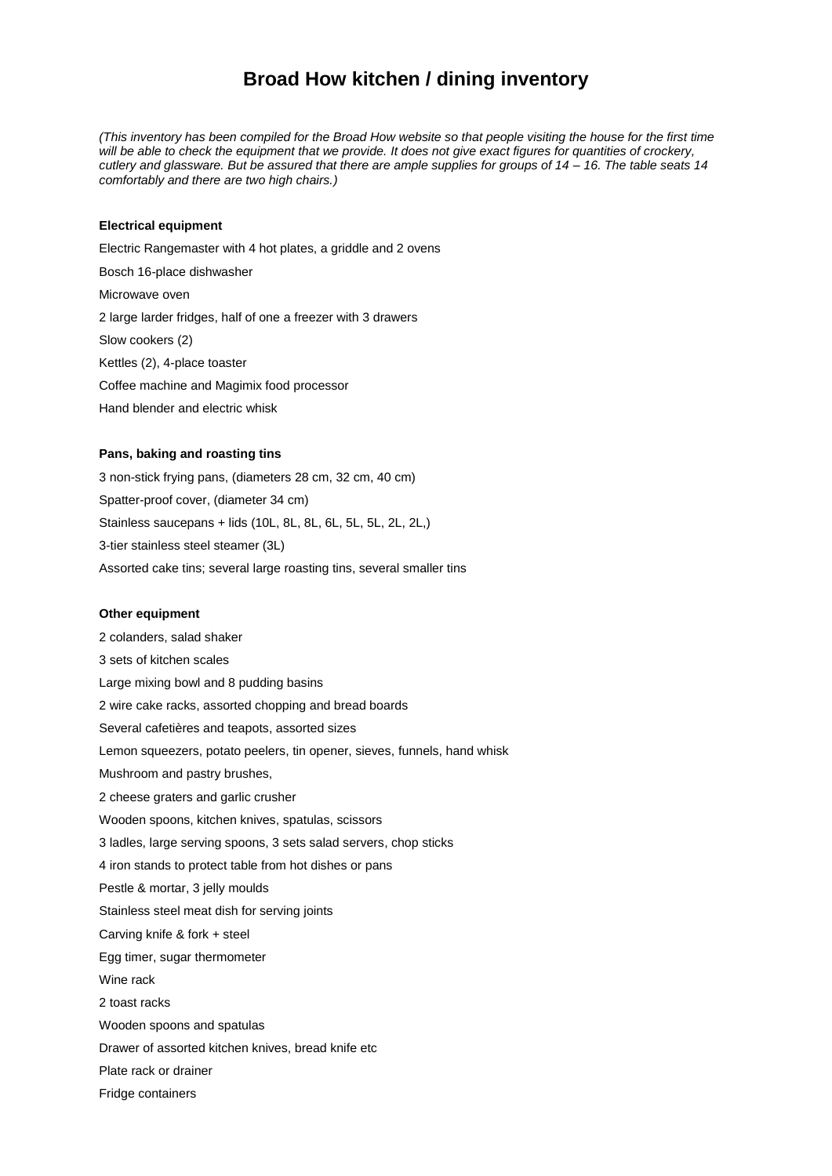# **Broad How kitchen / dining inventory**

*(This inventory has been compiled for the Broad How website so that people visiting the house for the first time will be able to check the equipment that we provide. It does not give exact figures for quantities of crockery, cutlery and glassware. But be assured that there are ample supplies for groups of 14 – 16. The table seats 14 comfortably and there are two high chairs.)*

#### **Electrical equipment**

Electric Rangemaster with 4 hot plates, a griddle and 2 ovens Bosch 16-place dishwasher Microwave oven 2 large larder fridges, half of one a freezer with 3 drawers Slow cookers (2) Kettles (2), 4-place toaster Coffee machine and Magimix food processor Hand blender and electric whisk

## **Pans, baking and roasting tins**

3 non-stick frying pans, (diameters 28 cm, 32 cm, 40 cm) Spatter-proof cover, (diameter 34 cm) Stainless saucepans + lids (10L, 8L, 8L, 6L, 5L, 5L, 2L, 2L,) 3-tier stainless steel steamer (3L) Assorted cake tins; several large roasting tins, several smaller tins

#### **Other equipment**

2 colanders, salad shaker 3 sets of kitchen scales Large mixing bowl and 8 pudding basins 2 wire cake racks, assorted chopping and bread boards Several cafetières and teapots, assorted sizes Lemon squeezers, potato peelers, tin opener, sieves, funnels, hand whisk Mushroom and pastry brushes, 2 cheese graters and garlic crusher Wooden spoons, kitchen knives, spatulas, scissors 3 ladles, large serving spoons, 3 sets salad servers, chop sticks 4 iron stands to protect table from hot dishes or pans Pestle & mortar, 3 jelly moulds Stainless steel meat dish for serving joints Carving knife & fork + steel Egg timer, sugar thermometer Wine rack 2 toast racks Wooden spoons and spatulas Drawer of assorted kitchen knives, bread knife etc Plate rack or drainer Fridge containers